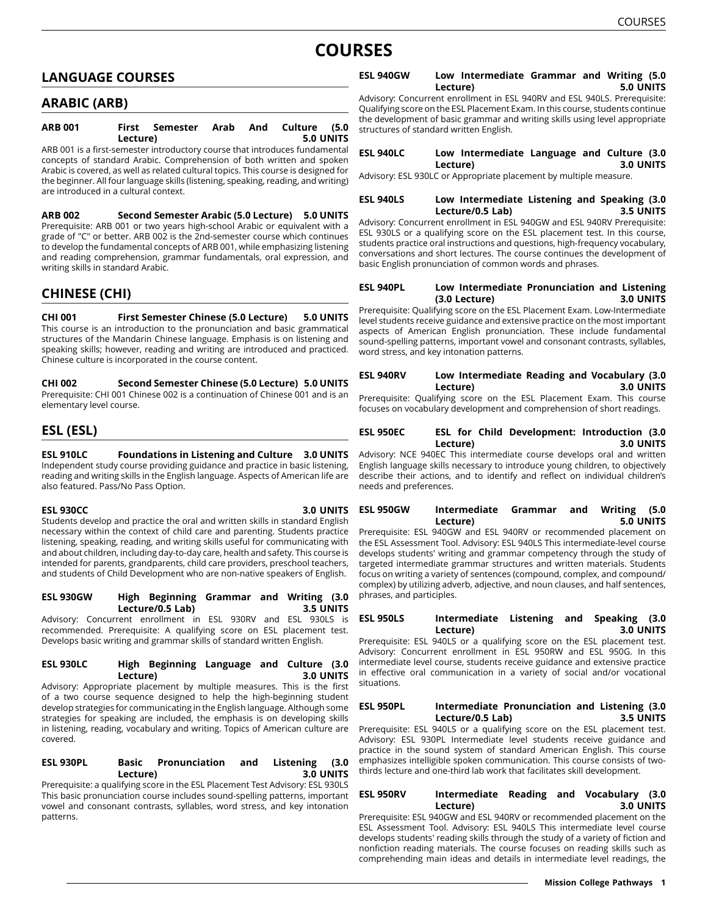# **COURSES**

# **LANGUAGE COURSES**

# **ARABIC (ARB)**

| <b>ARB 001</b>                                                              |  | First Semester Arab And Culture (5.0 |  |  |           |
|-----------------------------------------------------------------------------|--|--------------------------------------|--|--|-----------|
| Lecture)                                                                    |  |                                      |  |  | 5.0 UNITS |
| ARB 001 is a first-semester introductory course that introduces fundamental |  |                                      |  |  |           |

concepts of standard Arabic. Comprehension of both written and spoken Arabic is covered, as well as related cultural topics. This course is designed for the beginner. All four language skills (listening, speaking, reading, and writing) are introduced in a cultural context.

**ARB 002 Second Semester Arabic (5.0 Lecture) 5.0 UNITS** Prerequisite: ARB 001 or two years high-school Arabic or equivalent with a grade of "C" or better. ARB 002 is the 2nd-semester course which continues to develop the fundamental concepts of ARB 001, while emphasizing listening and reading comprehension, grammar fundamentals, oral expression, and writing skills in standard Arabic.

# **CHINESE (CHI)**

**CHI 001 First Semester Chinese (5.0 Lecture) 5.0 UNITS** This course is an introduction to the pronunciation and basic grammatical structures of the Mandarin Chinese language. Emphasis is on listening and speaking skills; however, reading and writing are introduced and practiced. Chinese culture is incorporated in the course content.

**CHI 002 Second Semester Chinese (5.0 Lecture) 5.0 UNITS** Prerequisite: CHI 001 Chinese 002 is a continuation of Chinese 001 and is an elementary level course.

# **ESL (ESL)**

**ESL 910LC Foundations in Listening and Culture 3.0 UNITS** Independent study course providing guidance and practice in basic listening, reading and writing skills in the English language. Aspects of American life are also featured. Pass/No Pass Option.

**ESL 930CC 3.0 UNITS** Students develop and practice the oral and written skills in standard English necessary within the context of child care and parenting. Students practice listening, speaking, reading, and writing skills useful for communicating with and about children, including day-to-day care, health and safety. This course is intended for parents, grandparents, child care providers, preschool teachers, and students of Child Development who are non-native speakers of English.

**ESL 930GW High Beginning Grammar and Writing (3.0 Lecture/0.5 Lab) 3.5 UNITS** Advisory: Concurrent enrollment in ESL 930RV and ESL 930LS is

recommended. Prerequisite: A qualifying score on ESL placement test. Develops basic writing and grammar skills of standard written English.

#### **ESL 930LC High Beginning Language and Culture (3.0 Lecture) 3.0 UNITS**

Advisory: Appropriate placement by multiple measures. This is the first of a two course sequence designed to help the high-beginning student develop strategies for communicating in the English language. Although some strategies for speaking are included, the emphasis is on developing skills in listening, reading, vocabulary and writing. Topics of American culture are covered.

#### **ESL 930PL Basic Pronunciation and Listening (3.0 Lecture) 3.0 UNITS**

Prerequisite: a qualifying score in the ESL Placement Test Advisory: ESL 930LS This basic pronunciation course includes sound-spelling patterns, important vowel and consonant contrasts, syllables, word stress, and key intonation patterns.

# **ESL 940GW Low Intermediate Grammar and Writing (5.0 Lecture) 5.0 UNITS**

Advisory: Concurrent enrollment in ESL 940RV and ESL 940LS. Prerequisite: Qualifying score on the ESL Placement Exam. In this course, students continue the development of basic grammar and writing skills using level appropriate structures of standard written English.

# **ESL 940LC Low Intermediate Language and Culture (3.0 Lecture) 3.0 UNITS**

Advisory: ESL 930LC or Appropriate placement by multiple measure.

# **ESL 940LS Low Intermediate Listening and Speaking (3.0 Lecture/0.5 Lab) 3.5 UNITS**

Advisory: Concurrent enrollment in ESL 940GW and ESL 940RV Prerequisite: ESL 930LS or a qualifying score on the ESL placement test. In this course, students practice oral instructions and questions, high-frequency vocabulary, conversations and short lectures. The course continues the development of basic English pronunciation of common words and phrases.

# **ESL 940PL Low Intermediate Pronunciation and Listening (3.0 Lecture) 3.0 UNITS**

Prerequisite: Qualifying score on the ESL Placement Exam. Low-Intermediate level students receive guidance and extensive practice on the most important aspects of American English pronunciation. These include fundamental sound-spelling patterns, important vowel and consonant contrasts, syllables, word stress, and key intonation patterns.

# **ESL 940RV Low Intermediate Reading and Vocabulary (3.0 Lecture) 3.0 UNITS**

Prerequisite: Qualifying score on the ESL Placement Exam. This course focuses on vocabulary development and comprehension of short readings.

# **ESL 950EC ESL for Child Development: Introduction (3.0 Lecture) 3.0 UNITS**

Advisory: NCE 940EC This intermediate course develops oral and written English language skills necessary to introduce young children, to objectively describe their actions, and to identify and reflect on individual children's needs and preferences.

# **ESL 950GW Intermediate Grammar and Writing (5.0 Lecture) 5.0 UNITS**

Prerequisite: ESL 940GW and ESL 940RV or recommended placement on the ESL Assessment Tool. Advisory: ESL 940LS This intermediate-level course develops students' writing and grammar competency through the study of targeted intermediate grammar structures and written materials. Students focus on writing a variety of sentences (compound, complex, and compound/ complex) by utilizing adverb, adjective, and noun clauses, and half sentences, phrases, and participles.

# **ESL 950LS Intermediate Listening and Speaking (3.0 Lecture) 3.0 UNITS**

Prerequisite: ESL 940LS or a qualifying score on the ESL placement test. Advisory: Concurrent enrollment in ESL 950RW and ESL 950G. In this intermediate level course, students receive guidance and extensive practice in effective oral communication in a variety of social and/or vocational situations.

# **ESL 950PL Intermediate Pronunciation and Listening (3.0 Lecture/0.5 Lab)**

Prerequisite: ESL 940LS or a qualifying score on the ESL placement test. Advisory: ESL 930PL Intermediate level students receive guidance and practice in the sound system of standard American English. This course emphasizes intelligible spoken communication. This course consists of twothirds lecture and one-third lab work that facilitates skill development.

# **ESL 950RV Intermediate Reading and Vocabulary (3.0 Lecture) 3.0 UNITS**

Prerequisite: ESL 940GW and ESL 940RV or recommended placement on the ESL Assessment Tool. Advisory: ESL 940LS This intermediate level course develops students' reading skills through the study of a variety of fiction and nonfiction reading materials. The course focuses on reading skills such as comprehending main ideas and details in intermediate level readings, the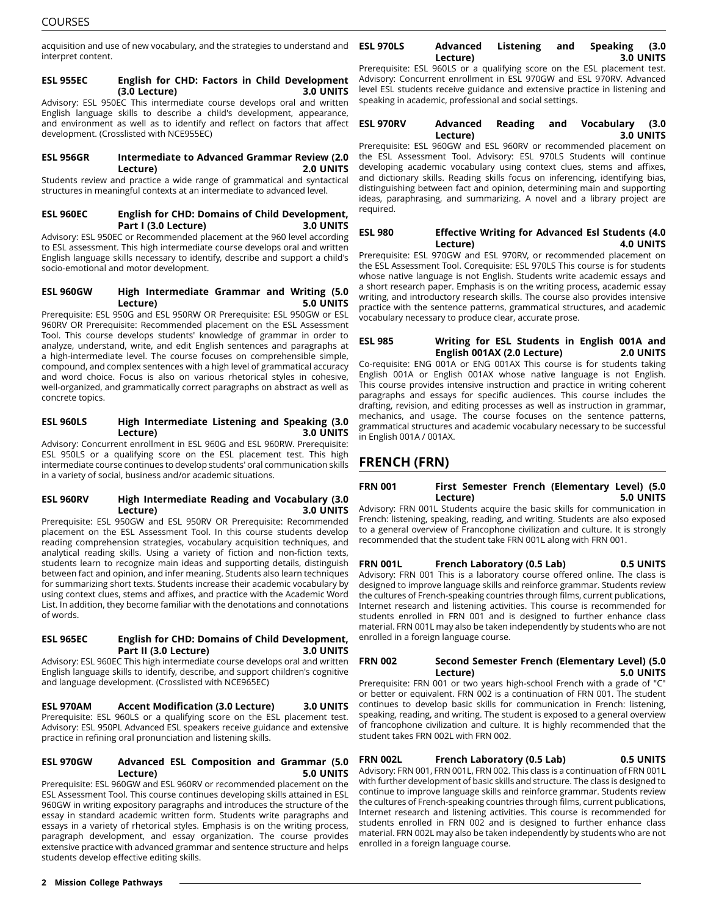acquisition and use of new vocabulary, and the strategies to understand and **ESL 970LS** interpret content.

### **ESL 955EC English for CHD: Factors in Child Development (3.0 Lecture) 3.0 UNITS**

Advisory: ESL 950EC This intermediate course develops oral and written English language skills to describe a child's development, appearance, and environment as well as to identify and reflect on factors that affect development. (Crosslisted with NCE955EC)

### **ESL 956GR Intermediate to Advanced Grammar Review (2.0 Lecture) 2.0 UNITS**

Students review and practice a wide range of grammatical and syntactical structures in meaningful contexts at an intermediate to advanced level.

# **ESL 960EC English for CHD: Domains of Child Development, Part I (3.0 Lecture) 3.0 UNITS**

Advisory: ESL 950EC or Recommended placement at the 960 level according to ESL assessment. This high intermediate course develops oral and written English language skills necessary to identify, describe and support a child's socio-emotional and motor development.

# **ESL 960GW High Intermediate Grammar and Writing (5.0 Lecture) 5.0 UNITS**

Prerequisite: ESL 950G and ESL 950RW OR Prerequisite: ESL 950GW or ESL 960RV OR Prerequisite: Recommended placement on the ESL Assessment Tool. This course develops students' knowledge of grammar in order to analyze, understand, write, and edit English sentences and paragraphs at a high-intermediate level. The course focuses on comprehensible simple, compound, and complex sentences with a high level of grammatical accuracy and word choice. Focus is also on various rhetorical styles in cohesive, well-organized, and grammatically correct paragraphs on abstract as well as concrete topics.

#### **ESL 960LS High Intermediate Listening and Speaking (3.0 Lecture) 3.0 UNITS**

Advisory: Concurrent enrollment in ESL 960G and ESL 960RW. Prerequisite: ESL 950LS or a qualifying score on the ESL placement test. This high intermediate course continues to develop students' oral communication skills in a variety of social, business and/or academic situations.

# **ESL 960RV High Intermediate Reading and Vocabulary (3.0 Lecture) 3.0 UNITS**

Prerequisite: ESL 950GW and ESL 950RV OR Prerequisite: Recommended placement on the ESL Assessment Tool. In this course students develop reading comprehension strategies, vocabulary acquisition techniques, and analytical reading skills. Using a variety of fiction and non-fiction texts, students learn to recognize main ideas and supporting details, distinguish between fact and opinion, and infer meaning. Students also learn techniques for summarizing short texts. Students increase their academic vocabulary by using context clues, stems and affixes, and practice with the Academic Word List. In addition, they become familiar with the denotations and connotations of words.

# **ESL 965EC English for CHD: Domains of Child Development, Part II (3.0 Lecture) 3.0 UNITS**

Advisory: ESL 960EC This high intermediate course develops oral and written English language skills to identify, describe, and support children's cognitive and language development. (Crosslisted with NCE965EC)

**ESL 970AM Accent Modification (3.0 Lecture) 3.0 UNITS** Prerequisite: ESL 960LS or a qualifying score on the ESL placement test. Advisory: ESL 950PL Advanced ESL speakers receive guidance and extensive practice in refining oral pronunciation and listening skills.

#### **ESL 970GW Advanced ESL Composition and Grammar (5.0 Lecture) 5.0 UNITS**

Prerequisite: ESL 960GW and ESL 960RV or recommended placement on the ESL Assessment Tool. This course continues developing skills attained in ESL 960GW in writing expository paragraphs and introduces the structure of the essay in standard academic written form. Students write paragraphs and essays in a variety of rhetorical styles. Emphasis is on the writing process, paragraph development, and essay organization. The course provides extensive practice with advanced grammar and sentence structure and helps students develop effective editing skills.

# **ESL 970LS Advanced Listening and Speaking (3.0 Lecture) 3.0 UNITS**

Prerequisite: ESL 960LS or a qualifying score on the ESL placement test. Advisory: Concurrent enrollment in ESL 970GW and ESL 970RV. Advanced level ESL students receive guidance and extensive practice in listening and speaking in academic, professional and social settings.

# **ESL 970RV Advanced Reading and Vocabulary (3.0 Lecture) 3.0 UNITS**

Prerequisite: ESL 960GW and ESL 960RV or recommended placement on the ESL Assessment Tool. Advisory: ESL 970LS Students will continue developing academic vocabulary using context clues, stems and affixes, and dictionary skills. Reading skills focus on inferencing, identifying bias, distinguishing between fact and opinion, determining main and supporting ideas, paraphrasing, and summarizing. A novel and a library project are required.

# **ESL 980 Effective Writing for Advanced Esl Students (4.0 Lecture) 4.0 UNITS**

Prerequisite: ESL 970GW and ESL 970RV, or recommended placement on the ESL Assessment Tool. Corequisite: ESL 970LS This course is for students whose native language is not English. Students write academic essays and a short research paper. Emphasis is on the writing process, academic essay writing, and introductory research skills. The course also provides intensive practice with the sentence patterns, grammatical structures, and academic vocabulary necessary to produce clear, accurate prose.

# **ESL 985 Writing for ESL Students in English 001A and English 001AX (2.0 Lecture) 2.0 UNITS**

Co-requisite: ENG 001A or ENG 001AX This course is for students taking English 001A or English 001AX whose native language is not English. This course provides intensive instruction and practice in writing coherent paragraphs and essays for specific audiences. This course includes the drafting, revision, and editing processes as well as instruction in grammar, mechanics, and usage. The course focuses on the sentence patterns, grammatical structures and academic vocabulary necessary to be successful in English 001A / 001AX.

# **FRENCH (FRN)**

# **FRN 001 First Semester French (Elementary Level) (5.0 Lecture) 5.0 UNITS**

Advisory: FRN 001L Students acquire the basic skills for communication in French: listening, speaking, reading, and writing. Students are also exposed to a general overview of Francophone civilization and culture. It is strongly recommended that the student take FRN 001L along with FRN 001.

# **FRN 001L French Laboratory (0.5 Lab) 0.5 UNITS**

Advisory: FRN 001 This is a laboratory course offered online. The class is designed to improve language skills and reinforce grammar. Students review the cultures of French-speaking countries through films, current publications, Internet research and listening activities. This course is recommended for students enrolled in FRN 001 and is designed to further enhance class material. FRN 001L may also be taken independently by students who are not enrolled in a foreign language course.

# **FRN 002 Second Semester French (Elementary Level) (5.0 Lecture) 5.0 UNITS**

Prerequisite: FRN 001 or two years high-school French with a grade of "C" or better or equivalent. FRN 002 is a continuation of FRN 001. The student continues to develop basic skills for communication in French: listening, speaking, reading, and writing. The student is exposed to a general overview of francophone civilization and culture. It is highly recommended that the student takes FRN 002L with FRN 002.

**FRN 002L French Laboratory (0.5 Lab) 0.5 UNITS** Advisory: FRN 001, FRN 001L, FRN 002. This class is a continuation of FRN 001L with further development of basic skills and structure. The class is designed to continue to improve language skills and reinforce grammar. Students review the cultures of French-speaking countries through films, current publications, Internet research and listening activities. This course is recommended for students enrolled in FRN 002 and is designed to further enhance class material. FRN 002L may also be taken independently by students who are not enrolled in a foreign language course.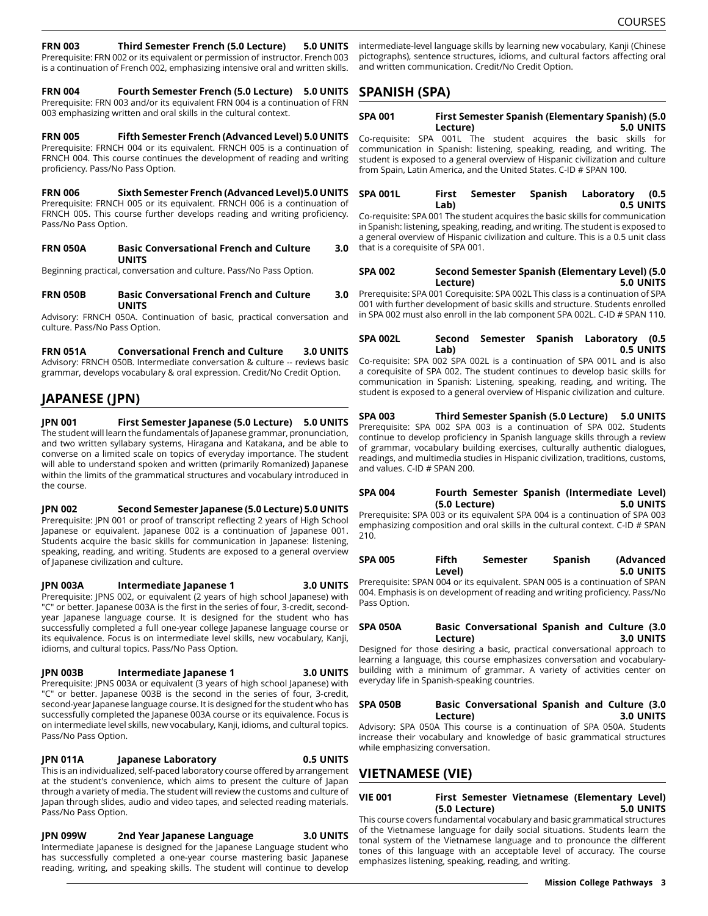### **FRN 003 Third Semester French (5.0 Lecture) 5.0 UNITS**

Prerequisite: FRN 002 or its equivalent or permission of instructor. French 003 is a continuation of French 002, emphasizing intensive oral and written skills.

**FRN 004 Fourth Semester French (5.0 Lecture) 5.0 UNITS** Prerequisite: FRN 003 and/or its equivalent FRN 004 is a continuation of FRN 003 emphasizing written and oral skills in the cultural context.

**FRN 005 Fifth Semester French (Advanced Level) 5.0 UNITS** Prerequisite: FRNCH 004 or its equivalent. FRNCH 005 is a continuation of FRNCH 004. This course continues the development of reading and writing proficiency. Pass/No Pass Option.

**FRN 006 Sixth Semester French (Advanced Level)5.0 UNITS** Prerequisite: FRNCH 005 or its equivalent. FRNCH 006 is a continuation of FRNCH 005. This course further develops reading and writing proficiency. Pass/No Pass Option.

| <b>FRN 050A</b> | <b>Basic Conversational French and Culture</b> |  |  |  |
|-----------------|------------------------------------------------|--|--|--|
|                 | <b>UNITS</b>                                   |  |  |  |

Beginning practical, conversation and culture. Pass/No Pass Option.

**FRN 050B Basic Conversational French and Culture 3.0 UNITS**

Advisory: FRNCH 050A. Continuation of basic, practical conversation and culture. Pass/No Pass Option.

**FRN 051A Conversational French and Culture 3.0 UNITS** Advisory: FRNCH 050B. Intermediate conversation & culture -- reviews basic grammar, develops vocabulary & oral expression. Credit/No Credit Option.

# **JAPANESE (JPN)**

**JPN 001 First Semester Japanese (5.0 Lecture) 5.0 UNITS** The student will learn the fundamentals of Japanese grammar, pronunciation, and two written syllabary systems, Hiragana and Katakana, and be able to converse on a limited scale on topics of everyday importance. The student will able to understand spoken and written (primarily Romanized) Japanese within the limits of the grammatical structures and vocabulary introduced in the course.

**JPN 002 Second Semester Japanese (5.0 Lecture) 5.0 UNITS** Prerequisite: JPN 001 or proof of transcript reflecting 2 years of High School Japanese or equivalent. Japanese 002 is a continuation of Japanese 001. Students acquire the basic skills for communication in Japanese: listening, speaking, reading, and writing. Students are exposed to a general overview of Japanese civilization and culture.

**JPN 003A Intermediate Japanese 1 3.0 UNITS** Prerequisite: JPNS 002, or equivalent (2 years of high school Japanese) with "C" or better. Japanese 003A is the first in the series of four, 3-credit, secondyear Japanese language course. It is designed for the student who has successfully completed a full one-year college Japanese language course or its equivalence. Focus is on intermediate level skills, new vocabulary, Kanji, idioms, and cultural topics. Pass/No Pass Option.

#### **JPN 003B Intermediate Japanese 1 3.0 UNITS**

Prerequisite: JPNS 003A or equivalent (3 years of high school Japanese) with "C" or better. Japanese 003B is the second in the series of four, 3-credit, second-year Japanese language course. It is designed for the student who has successfully completed the Japanese 003A course or its equivalence. Focus is on intermediate level skills, new vocabulary, Kanji, idioms, and cultural topics. Pass/No Pass Option.

#### **JPN 011A Japanese Laboratory 0.5 UNITS**

This is an individualized, self-paced laboratory course offered by arrangement at the student's convenience, which aims to present the culture of Japan through a variety of media. The student will review the customs and culture of Japan through slides, audio and video tapes, and selected reading materials. Pass/No Pass Option.

# **JPN 099W 2nd Year Japanese Language 3.0 UNITS**

Intermediate Japanese is designed for the Japanese Language student who has successfully completed a one-year course mastering basic Japanese reading, writing, and speaking skills. The student will continue to develop intermediate-level language skills by learning new vocabulary, Kanji (Chinese pictographs), sentence structures, idioms, and cultural factors affecting oral and written communication. Credit/No Credit Option.

# **SPANISH (SPA)**

| <b>SPA 001</b> | <b>First Semester Spanish (Elementary Spanish) (5.0</b> |                  |
|----------------|---------------------------------------------------------|------------------|
|                | Lecture)                                                | <b>5.0 UNITS</b> |

Co-requisite: SPA 001L The student acquires the basic skills for communication in Spanish: listening, speaking, reading, and writing. The student is exposed to a general overview of Hispanic civilization and culture from Spain, Latin America, and the United States. C-ID # SPAN 100.

| <b>SPA 001L</b> |      |  | First Semester Spanish Laboratory (0.5 |           |
|-----------------|------|--|----------------------------------------|-----------|
|                 | Lab) |  |                                        | 0.5 UNITS |

Co-requisite: SPA 001 The student acquires the basic skills for communication in Spanish: listening, speaking, reading, and writing. The student is exposed to a general overview of Hispanic civilization and culture. This is a 0.5 unit class that is a corequisite of SPA 001.

# **SPA 002 Second Semester Spanish (Elementary Level) (5.0 Lecture) 5.0 UNITS**

Prerequisite: SPA 001 Corequisite: SPA 002L This class is a continuation of SPA 001 with further development of basic skills and structure. Students enrolled in SPA 002 must also enroll in the lab component SPA 002L. C-ID # SPAN 110.

**SPA 002L Second Semester Spanish Laboratory (0.5 Lab) 0.5 UNITS**

Co-requisite: SPA 002 SPA 002L is a continuation of SPA 001L and is also a corequisite of SPA 002. The student continues to develop basic skills for communication in Spanish: Listening, speaking, reading, and writing. The student is exposed to a general overview of Hispanic civilization and culture.

**SPA 003 Third Semester Spanish (5.0 Lecture) 5.0 UNITS** Prerequisite: SPA 002 SPA 003 is a continuation of SPA 002. Students continue to develop proficiency in Spanish language skills through a review of grammar, vocabulary building exercises, culturally authentic dialogues, readings, and multimedia studies in Hispanic civilization, traditions, customs, and values. C-ID # SPAN 200.

| SPA 004 |               |  | Fourth Semester Spanish (Intermediate Level) |           |
|---------|---------------|--|----------------------------------------------|-----------|
|         | (5.0 Lecture) |  |                                              | 5.0 UNITS |

Prerequisite: SPA 003 or its equivalent SPA 004 is a continuation of SPA 003 emphasizing composition and oral skills in the cultural context. C-ID # SPAN 210.

| <b>SPA 005</b> | Fifth  | Semester | <b>Spanish</b> | (Advanced |
|----------------|--------|----------|----------------|-----------|
|                | Level) |          |                | 5.0 UNITS |

Prerequisite: SPAN 004 or its equivalent. SPAN 005 is a continuation of SPAN 004. Emphasis is on development of reading and writing proficiency. Pass/No Pass Option.

#### **SPA 050A Basic Conversational Spanish and Culture (3.0 Lecture) 3.0 UNITS**

Designed for those desiring a basic, practical conversational approach to learning a language, this course emphasizes conversation and vocabularybuilding with a minimum of grammar. A variety of activities center on everyday life in Spanish-speaking countries.

# **SPA 050B Basic Conversational Spanish and Culture (3.0 Lecture) 3.0 UNITS**

Advisory: SPA 050A This course is a continuation of SPA 050A. Students increase their vocabulary and knowledge of basic grammatical structures while emphasizing conversation.

# **VIETNAMESE (VIE)**

# **VIE 001 First Semester Vietnamese (Elementary Level) (5.0 Lecture) 5.0 UNITS**

This course covers fundamental vocabulary and basic grammatical structures of the Vietnamese language for daily social situations. Students learn the tonal system of the Vietnamese language and to pronounce the different tones of this language with an acceptable level of accuracy. The course emphasizes listening, speaking, reading, and writing.